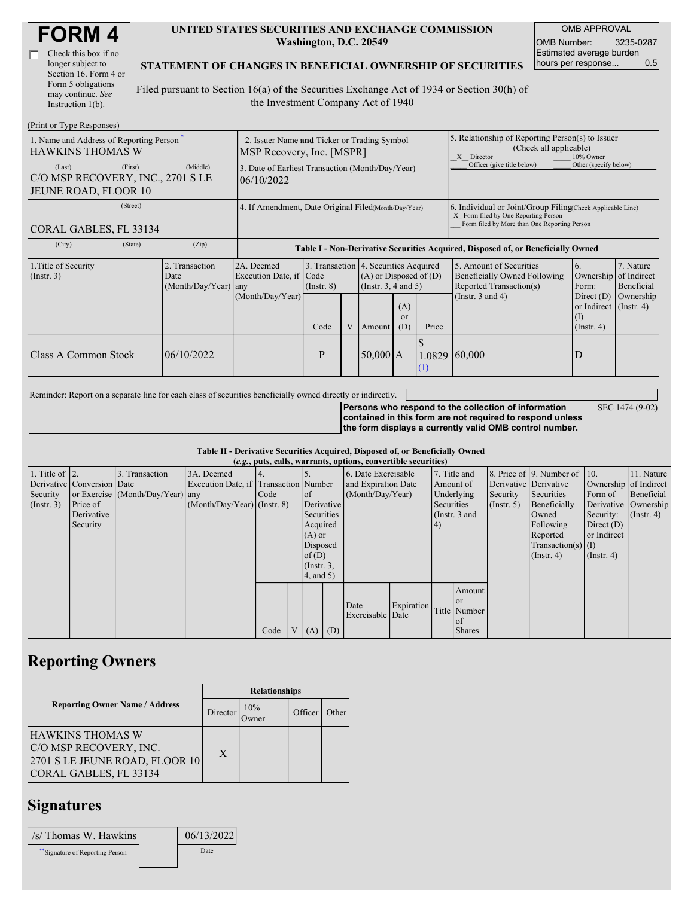| Check this box if no  |
|-----------------------|
| longer subject to     |
| Section 16. Form 4 or |
| Form 5 obligations    |
| may continue. See     |
| Instruction 1(b).     |

#### **UNITED STATES SECURITIES AND EXCHANGE COMMISSION Washington, D.C. 20549**

OMB APPROVAL OMB Number: 3235-0287 Estimated average burden hours per response... 0.5

### **STATEMENT OF CHANGES IN BENEFICIAL OWNERSHIP OF SECURITIES**

Filed pursuant to Section 16(a) of the Securities Exchange Act of 1934 or Section 30(h) of the Investment Company Act of 1940

| (Print or Type Responses)                                                      |                                                                          |                                                                                  |                 |   |            |                                                                                                    |                                                                                                                                                    |                                                                                                             |                                                                       |                                                     |
|--------------------------------------------------------------------------------|--------------------------------------------------------------------------|----------------------------------------------------------------------------------|-----------------|---|------------|----------------------------------------------------------------------------------------------------|----------------------------------------------------------------------------------------------------------------------------------------------------|-------------------------------------------------------------------------------------------------------------|-----------------------------------------------------------------------|-----------------------------------------------------|
| 1. Name and Address of Reporting Person-<br><b>HAWKINS THOMAS W</b>            | 2. Issuer Name and Ticker or Trading Symbol<br>MSP Recovery, Inc. [MSPR] |                                                                                  |                 |   |            |                                                                                                    | 5. Relationship of Reporting Person(s) to Issuer<br>(Check all applicable)<br>10% Owner<br>X Director                                              |                                                                                                             |                                                                       |                                                     |
| (First)<br>(Last)<br>C/O MSP RECOVERY, INC., 2701 S LE<br>JEUNE ROAD, FLOOR 10 | (Middle)                                                                 | 3. Date of Earliest Transaction (Month/Day/Year)<br>06/10/2022                   |                 |   |            |                                                                                                    |                                                                                                                                                    | Officer (give title below)                                                                                  | Other (specify below)                                                 |                                                     |
| (Street)<br>CORAL GABLES, FL 33134                                             | 4. If Amendment, Date Original Filed(Month/Day/Year)                     |                                                                                  |                 |   |            |                                                                                                    | 6. Individual or Joint/Group Filing Check Applicable Line)<br>X Form filed by One Reporting Person<br>Form filed by More than One Reporting Person |                                                                                                             |                                                                       |                                                     |
| (City)<br>(State)                                                              | (Zip)                                                                    | Table I - Non-Derivative Securities Acquired, Disposed of, or Beneficially Owned |                 |   |            |                                                                                                    |                                                                                                                                                    |                                                                                                             |                                                                       |                                                     |
| 1. Title of Security<br>(Insert. 3)                                            | 2. Transaction<br>Date<br>(Month/Day/Year)                               | 2A. Deemed<br>Execution Date, if Code<br>any<br>(Month/Day/Year)                 | $($ Instr. $8)$ |   |            | 3. Transaction 4. Securities Acquired<br>$(A)$ or Disposed of $(D)$<br>(Insert. 3, 4 and 5)<br>(A) |                                                                                                                                                    | 5. Amount of Securities<br>Beneficially Owned Following<br>Reported Transaction(s)<br>(Instr. $3$ and $4$ ) | 6.<br>Ownership<br>Form:<br>Direct $(D)$<br>or Indirect $($ Instr. 4) | 7. Nature<br>of Indirect<br>Beneficial<br>Ownership |
|                                                                                |                                                                          |                                                                                  | Code            | V | Amount     | <sub>or</sub><br>(D)                                                                               | Price                                                                                                                                              |                                                                                                             | $\rm(1)$<br>$($ Instr. 4 $)$                                          |                                                     |
| <b>Class A Common Stock</b>                                                    | 06/10/2022                                                               |                                                                                  | P               |   | $50,000$ A |                                                                                                    | 1.0829<br>(1)                                                                                                                                      | 60,000                                                                                                      | D                                                                     |                                                     |

Reminder: Report on a separate line for each class of securities beneficially owned directly or indirectly.

**Persons who respond to the collection of information contained in this form are not required to respond unless the form displays a currently valid OMB control number.** SEC 1474 (9-02)

#### **Table II - Derivative Securities Acquired, Disposed of, or Beneficially Owned (***e.g.***, puts, calls, warrants, options, convertible securities)**

| $(c, g, pus, can, wariants, vpuons, convcitum, scentuvs)$ |                            |                                  |                                       |        |  |                 |  |                     |            |            |               |                       |                              |                       |                      |
|-----------------------------------------------------------|----------------------------|----------------------------------|---------------------------------------|--------|--|-----------------|--|---------------------|------------|------------|---------------|-----------------------|------------------------------|-----------------------|----------------------|
| 1. Title of $\vert$ 2.                                    |                            | 3. Transaction                   | 3A. Deemed                            |        |  |                 |  | 6. Date Exercisable |            |            | 7. Title and  |                       | 8. Price of 9. Number of 10. |                       | 11. Nature           |
|                                                           | Derivative Conversion Date |                                  | Execution Date, if Transaction Number |        |  |                 |  | and Expiration Date |            |            | Amount of     | Derivative Derivative |                              | Ownership of Indirect |                      |
| Security                                                  |                            | or Exercise (Month/Day/Year) any |                                       | I Code |  | of              |  | (Month/Day/Year)    |            |            | Underlying    | Security              | Securities                   | Form of               | Beneficial           |
| (Insert. 3)                                               | Price of                   |                                  | $(Month/Day/Year)$ (Instr. 8)         |        |  | Derivative      |  |                     |            | Securities |               | $($ Instr. 5 $)$      | Beneficially                 |                       | Derivative Ownership |
|                                                           | Derivative                 |                                  |                                       |        |  | Securities      |  |                     |            |            | (Instr. 3 and |                       | Owned                        | Security:             | $($ Instr. 4)        |
|                                                           | Security                   |                                  |                                       |        |  | Acquired        |  |                     |            | 4)         |               |                       | Following                    | Direct $(D)$          |                      |
|                                                           |                            |                                  |                                       |        |  | $(A)$ or        |  |                     |            |            |               |                       | Reported                     | or Indirect           |                      |
|                                                           |                            |                                  |                                       |        |  | Disposed        |  |                     |            |            |               |                       | Transaction(s) $(I)$         |                       |                      |
|                                                           |                            |                                  |                                       |        |  | of $(D)$        |  |                     |            |            |               |                       | $($ Instr. 4 $)$             | $($ Instr. 4 $)$      |                      |
|                                                           |                            |                                  |                                       |        |  | $($ Instr. $3,$ |  |                     |            |            |               |                       |                              |                       |                      |
|                                                           |                            |                                  |                                       |        |  | $4$ , and 5)    |  |                     |            |            |               |                       |                              |                       |                      |
|                                                           |                            |                                  |                                       |        |  |                 |  |                     |            |            | Amount        |                       |                              |                       |                      |
|                                                           |                            |                                  |                                       |        |  |                 |  | Date                | Expiration |            | or or         |                       |                              |                       |                      |
|                                                           |                            |                                  |                                       |        |  |                 |  | Exercisable Date    |            |            | Title Number  |                       |                              |                       |                      |
|                                                           |                            |                                  |                                       |        |  |                 |  |                     |            |            | of            |                       |                              |                       |                      |
|                                                           |                            |                                  |                                       | Code   |  | $V(A)$ (D)      |  |                     |            |            | <b>Shares</b> |                       |                              |                       |                      |

## **Reporting Owners**

|                                                                                                               | <b>Relationships</b> |                      |         |         |  |  |  |
|---------------------------------------------------------------------------------------------------------------|----------------------|----------------------|---------|---------|--|--|--|
| <b>Reporting Owner Name / Address</b>                                                                         | Director             | 10%<br><b>J</b> wner | Officer | . Ither |  |  |  |
| <b>HAWKINS THOMAS W</b><br>C/O MSP RECOVERY, INC.<br>2701 S LE JEUNE ROAD, FLOOR 10<br>CORAL GABLES, FL 33134 | X                    |                      |         |         |  |  |  |

## **Signatures**

| /s/ Thomas W. Hawkins            | 06/13/2022 |
|----------------------------------|------------|
| ** Signature of Reporting Person | Date       |